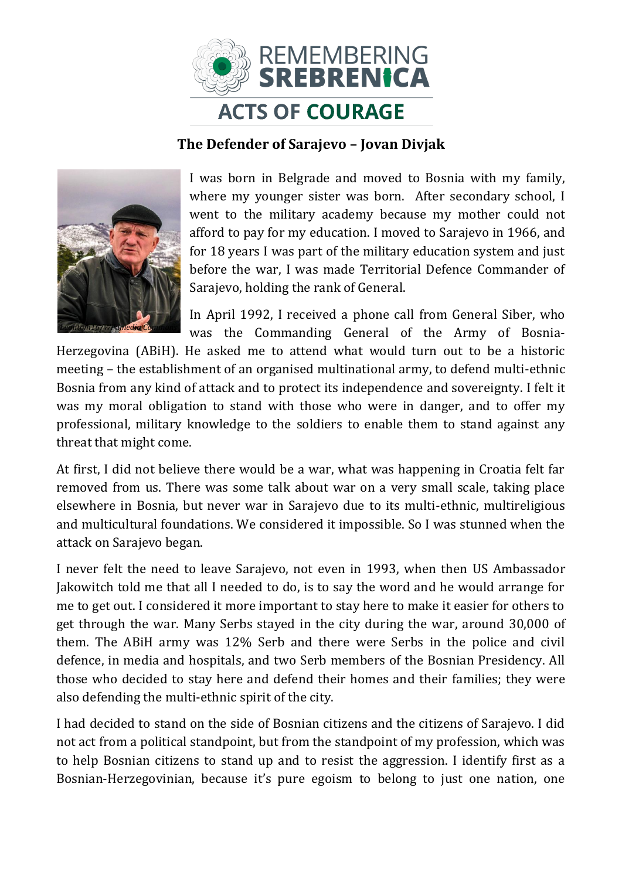

## **The Defender of Sarajevo – Jovan Divjak**



I was born in Belgrade and moved to Bosnia with my family, where my younger sister was born. After secondary school, I went to the military academy because my mother could not afford to pay for my education. I moved to Sarajevo in 1966, and for 18 years I was part of the military education system and just before the war, I was made Territorial Defence Commander of Sarajevo, holding the rank of General.

In April 1992, I received a phone call from General Siber, who was the Commanding General of the Army of Bosnia-

Herzegovina (ABiH). He asked me to attend what would turn out to be a historic meeting – the establishment of an organised multinational army, to defend multi-ethnic Bosnia from any kind of attack and to protect its independence and sovereignty. I felt it was my moral obligation to stand with those who were in danger, and to offer my professional, military knowledge to the soldiers to enable them to stand against any threat that might come.

At first, I did not believe there would be a war, what was happening in Croatia felt far removed from us. There was some talk about war on a very small scale, taking place elsewhere in Bosnia, but never war in Sarajevo due to its multi-ethnic, multireligious and multicultural foundations. We considered it impossible. So I was stunned when the attack on Sarajevo began.

I never felt the need to leave Sarajevo, not even in 1993, when then US Ambassador Jakowitch told me that all I needed to do, is to say the word and he would arrange for me to get out. I considered it more important to stay here to make it easier for others to get through the war. Many Serbs stayed in the city during the war, around 30,000 of them. The ABiH army was 12% Serb and there were Serbs in the police and civil defence, in media and hospitals, and two Serb members of the Bosnian Presidency. All those who decided to stay here and defend their homes and their families; they were also defending the multi-ethnic spirit of the city.

I had decided to stand on the side of Bosnian citizens and the citizens of Sarajevo. I did not act from a political standpoint, but from the standpoint of my profession, which was to help Bosnian citizens to stand up and to resist the aggression. I identify first as a Bosnian-Herzegovinian, because it's pure egoism to belong to just one nation, one